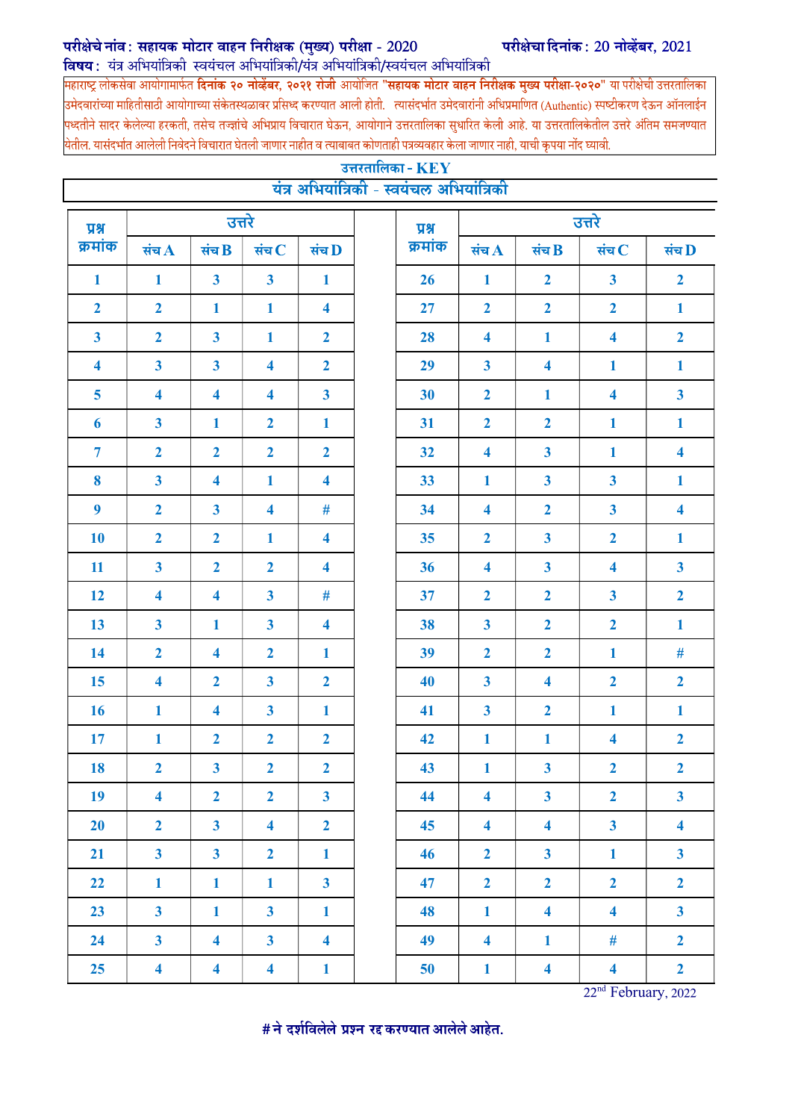## परीक्षेचे नांव: सहायक मोटार वाहन निरीक्षक (मुख्य) परीक्षा -  $2020$

विषय: यंत्र अभियांत्रिकी स्वयंचल अभियांत्रिकी/यंत्र अभियांत्रिकी/स्वयंचल अभियांत्रिकी

परीक्षेचा दिनांक: 20 नोव्हेंबर, 2021

महाराष्ट्र लोकसेवा आयोगामार्फत **दिनांक २० नोव्हेंबर, २०२१ रोजी** आयोजित "**सहायक मोटार वाहन निरीक्षक मुख्य परीक्षा-२०२०**" या परीक्षेची उत्तरतालिका उमेदवारांच्या माहितीसाठी आयोगाच्या संकेतस्थळावर प्रसिध्द करण्यात आली होती. त्यासंदर्भात उमेदवारांनी अधिप्रमाणित (Authentic) स्पष्टीकरण देऊन ऑनलाईन पध्दतीने सादर केलेल्या हरकती, तसेच तज्ज्ञांचे अभिप्राय विचारात घेऊन, आयोगाने उत्तरतालिका सुधारित केली आहे. या उत्तरतालिकेतील उत्तरे अंतिम समजण्यात येतील. यासंदर्भात आलेली निवेदने विचारात घेतली जाणार नाहीत व त्याबाबत कोणताही पत्रव्यवहार केला जाणार नाही, याची कृपया नोंद घ्यावी.

| उत्तरतालिका - $\mathbf{K}\mathbf{E}\mathbf{Y}$<br>यंत्र अभियांत्रिकी - स्वयंचल अभियांत्रिकी |                         |                         |                         |                         |  |         |                         |                         |                                                              |                         |  |
|---------------------------------------------------------------------------------------------|-------------------------|-------------------------|-------------------------|-------------------------|--|---------|-------------------------|-------------------------|--------------------------------------------------------------|-------------------------|--|
| प्रश्न                                                                                      | उत्तरे                  |                         |                         |                         |  | प्रश्न  | उत्तरे                  |                         |                                                              |                         |  |
| क्रमांक                                                                                     | संच $\bf{A}$            | संच $\bf B$             | संच $C$                 | संच D                   |  | क्रमांक | संच $\bf A$             | संच $\bf B$             | संच $\, {\bf C}$                                             | संच D                   |  |
| $\mathbf{1}$                                                                                | $\mathbf{1}$            | $\overline{\mathbf{3}}$ | $\mathbf{3}$            | $\mathbf{1}$            |  | 26      | $\mathbf{1}$            | $\overline{2}$          | $\overline{\mathbf{3}}$                                      | $\overline{2}$          |  |
| $\overline{2}$                                                                              | $\overline{2}$          | $\mathbf{1}$            | $\mathbf{1}$            | $\overline{\mathbf{4}}$ |  | 27      | $\overline{2}$          | $\overline{2}$          | $\overline{2}$                                               | $\mathbf{1}$            |  |
| $\overline{\mathbf{3}}$                                                                     | $\overline{2}$          | $\overline{\mathbf{3}}$ | $\mathbf{1}$            | $\overline{2}$          |  | 28      | $\overline{\mathbf{4}}$ | $\mathbf{1}$            | $\overline{\mathbf{4}}$                                      | $\overline{2}$          |  |
| $\overline{\bf{4}}$                                                                         | $\mathbf{3}$            | $\overline{\mathbf{3}}$ | $\overline{\mathbf{4}}$ | $\overline{2}$          |  | 29      | $\mathbf{3}$            | 4                       | 1                                                            | $\mathbf{1}$            |  |
| $5\overline{)}$                                                                             | $\overline{\mathbf{4}}$ | $\overline{\mathbf{4}}$ | $\overline{\mathbf{4}}$ | $\overline{\mathbf{3}}$ |  | 30      | $\overline{2}$          | 1                       | $\overline{\mathbf{4}}$                                      | $\mathbf{3}$            |  |
| 6                                                                                           | $\mathbf{3}$            | $\mathbf{1}$            | $\overline{2}$          | $\mathbf{1}$            |  | 31      | $\overline{2}$          | $\overline{2}$          | $\mathbf{1}$                                                 | $\mathbf{1}$            |  |
| $\overline{7}$                                                                              | $\overline{2}$          | $\overline{2}$          | $\overline{2}$          | $\overline{2}$          |  | 32      | $\overline{\mathbf{4}}$ | $\overline{\mathbf{3}}$ | $\mathbf{1}$                                                 | $\overline{\mathbf{4}}$ |  |
| 8                                                                                           | $\mathbf{3}$            | $\overline{\mathbf{4}}$ | $\mathbf{1}$            | $\overline{\mathbf{4}}$ |  | 33      | 1                       | $\overline{\mathbf{3}}$ | $\overline{\mathbf{3}}$                                      | $\mathbf{1}$            |  |
| $\boldsymbol{9}$                                                                            | $\overline{2}$          | $\mathbf{3}$            | $\overline{\mathbf{4}}$ | #                       |  | 34      | 4                       | $\overline{2}$          | $\overline{\mathbf{3}}$                                      | $\overline{\mathbf{4}}$ |  |
| 10                                                                                          | $\overline{2}$          | $\overline{2}$          | $\mathbf{1}$            | $\overline{\mathbf{4}}$ |  | 35      | $\overline{2}$          | $\overline{\mathbf{3}}$ | $\overline{2}$                                               | $\mathbf{1}$            |  |
| 11                                                                                          | $\overline{\mathbf{3}}$ | $\overline{2}$          | $\overline{2}$          | $\overline{\mathbf{4}}$ |  | 36      | $\overline{\mathbf{4}}$ | $\overline{\mathbf{3}}$ | $\overline{\mathbf{4}}$                                      | $\mathbf{3}$            |  |
| 12                                                                                          | $\overline{\mathbf{4}}$ | $\overline{\mathbf{4}}$ | $\mathbf{3}$            | $\#$                    |  | 37      | $\overline{2}$          | $\overline{2}$          | $\overline{\mathbf{3}}$                                      | $\overline{2}$          |  |
| 13                                                                                          | $\mathbf{3}$            | 1                       | 3 <sup>1</sup>          | $\overline{\mathbf{4}}$ |  | 38      | $\overline{\mathbf{3}}$ | $\overline{2}$          | $\overline{2}$                                               | $\mathbf{1}$            |  |
| 14                                                                                          | $\overline{2}$          | $\overline{\mathbf{4}}$ | $\overline{2}$          | $\mathbf{1}$            |  | 39      | $\overline{2}$          | $\overline{2}$          | $\mathbf{1}$                                                 | $\#$                    |  |
| 15                                                                                          | $\overline{\mathbf{4}}$ | $\overline{2}$          | $\mathbf{3}$            | $\overline{2}$          |  | 40      | $\overline{\mathbf{3}}$ | $\overline{\mathbf{4}}$ | $\overline{2}$                                               | $\overline{2}$          |  |
| <b>16</b>                                                                                   | $\mathbf{1}$            | $\overline{\mathbf{4}}$ | $\mathbf{3}$            | $\mathbf{1}$            |  | 41      | $\mathbf{3}$            | $\overline{2}$          | $\mathbf{1}$                                                 | $\mathbf{1}$            |  |
| 17                                                                                          | $\mathbf{1}$            | $\overline{2}$          | $\overline{2}$          | $\overline{2}$          |  | 42      | $\mathbf{1}$            | $\mathbf{1}$            | $\overline{\mathbf{4}}$                                      | $\overline{2}$          |  |
| 18                                                                                          | $\overline{2}$          | $\overline{\mathbf{3}}$ | $\overline{2}$          | $\overline{2}$          |  | 43      | $\mathbf{1}$            | $\overline{\mathbf{3}}$ | $\overline{2}$                                               | $\overline{2}$          |  |
| 19                                                                                          | $\overline{\mathbf{4}}$ | $\overline{2}$          | $\overline{2}$          | $\overline{\mathbf{3}}$ |  | 44      | $\overline{\mathbf{4}}$ | 3 <sup>1</sup>          | $\overline{2}$                                               | 3 <sup>1</sup>          |  |
| 20                                                                                          | $\overline{2}$          | $\overline{\mathbf{3}}$ | $\overline{\mathbf{4}}$ | $\overline{2}$          |  | 45      | $\overline{\mathbf{4}}$ | $\overline{\mathbf{4}}$ | $\overline{\mathbf{3}}$                                      | $\overline{\mathbf{4}}$ |  |
| 21                                                                                          | $\overline{\mathbf{3}}$ | $\overline{\mathbf{3}}$ | $\overline{2}$          | $\mathbf{1}$            |  | 46      | $\overline{2}$          | $\overline{\mathbf{3}}$ | $\mathbf{1}$                                                 | $\mathbf{3}$            |  |
| 22                                                                                          | $\mathbf{1}$            | $\mathbf{1}$            | $\mathbf{1}$            | $\overline{\mathbf{3}}$ |  | 47      | $\mathbf{2}$            | $\overline{2}$          | $\overline{2}$                                               | $\overline{2}$          |  |
| 23                                                                                          | $\overline{\mathbf{3}}$ | $\mathbf{1}$            | 3 <sup>1</sup>          | $\mathbf{1}$            |  | 48      | $\mathbf{1}$            | $\overline{\mathbf{4}}$ | $\overline{\mathbf{4}}$                                      | $\overline{\mathbf{3}}$ |  |
| 24                                                                                          | $\overline{\mathbf{3}}$ | $\overline{\mathbf{4}}$ | 3 <sup>1</sup>          | $\overline{\mathbf{4}}$ |  | 49      | $\overline{\mathbf{4}}$ | $\mathbf{1}$            | $\#$                                                         | $\overline{2}$          |  |
| 25                                                                                          | $\overline{\mathbf{4}}$ | $\overline{\mathbf{4}}$ | $\overline{\mathbf{4}}$ | $\mathbf{1}$            |  | 50      | $\mathbf{1}$            | $\overline{\mathbf{4}}$ | $\overline{\mathbf{4}}$<br>$\overline{A}$ and $\overline{A}$ | $\overline{2}$          |  |

22nd February, 2022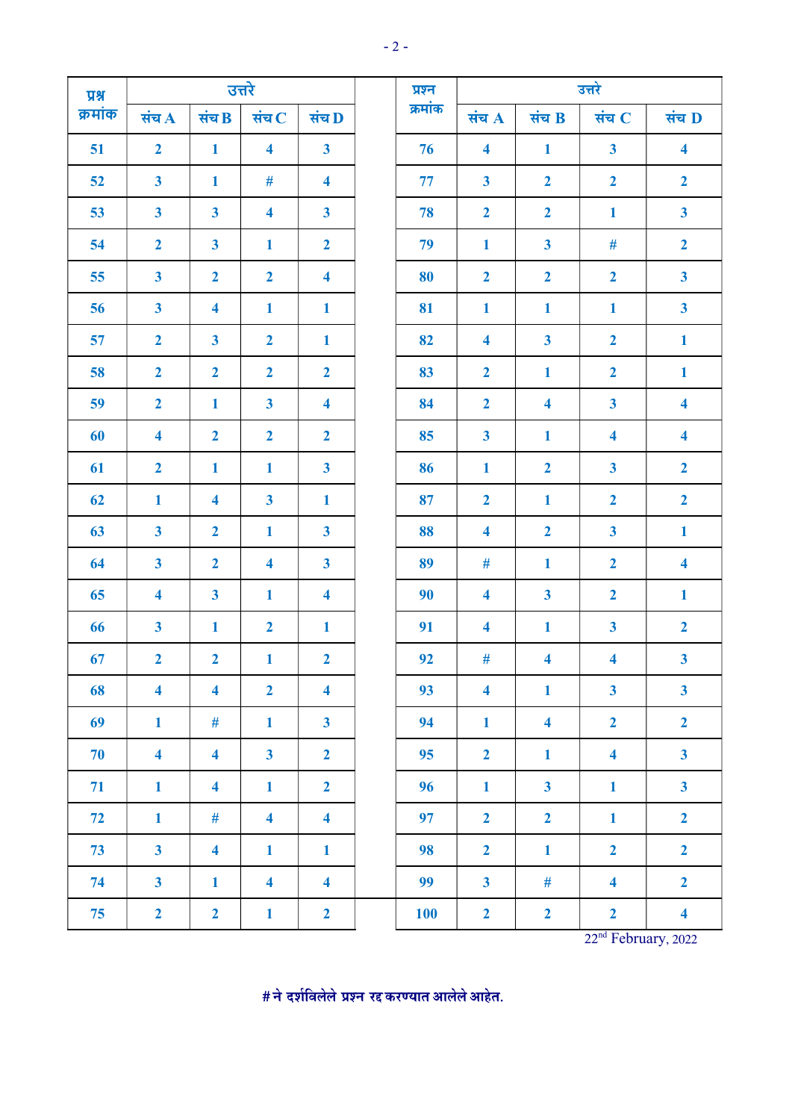| $\overline{M}$ |                         |                         | उत्तरे                  |                         | प्रश्न     | उत्तरे                  |                         |                         |                         |
|----------------|-------------------------|-------------------------|-------------------------|-------------------------|------------|-------------------------|-------------------------|-------------------------|-------------------------|
| क्रमांक        | संच $\bf A$             | संच $\bf B$             | संच $C$                 | संच D                   | क्रमांक    | संच $A$                 | संच B                   | संच $C$                 | संच D                   |
| 51             | $\overline{2}$          | $\mathbf{1}$            | $\overline{\mathbf{4}}$ | $\mathbf{3}$            | 76         | $\overline{\mathbf{4}}$ | $\mathbf{1}$            | $\overline{\mathbf{3}}$ | $\overline{\mathbf{4}}$ |
| 52             | $\overline{\mathbf{3}}$ | $\mathbf{1}$            | $\#$                    | $\overline{\mathbf{4}}$ | 77         | $\mathbf{3}$            | $\overline{2}$          | $\overline{2}$          | $\overline{2}$          |
| 53             | $\overline{\mathbf{3}}$ | $\overline{\mathbf{3}}$ | $\overline{\mathbf{4}}$ | $\mathbf{3}$            | 78         | $\overline{2}$          | $\mathbf{2}$            | $\mathbf{1}$            | $\overline{\mathbf{3}}$ |
| 54             | $\overline{2}$          | $\overline{\mathbf{3}}$ | $\mathbf{1}$            | $\overline{2}$          | 79         | $\mathbf{1}$            | $\overline{\mathbf{3}}$ | $\#$                    | $\overline{2}$          |
| 55             | $\overline{\mathbf{3}}$ | $\overline{2}$          | $\overline{2}$          | $\overline{\mathbf{4}}$ | 80         | $\overline{2}$          | $\overline{2}$          | $\overline{2}$          | $\overline{\mathbf{3}}$ |
| 56             | $\mathbf{3}$            | $\overline{\mathbf{4}}$ | $\mathbf{1}$            | $\mathbf{1}$            | 81         | $\mathbf{1}$            | $\mathbf{1}$            | $\mathbf{1}$            | $\overline{\mathbf{3}}$ |
| 57             | $\overline{2}$          | $\overline{\mathbf{3}}$ | $\overline{2}$          | $\mathbf{1}$            | 82         | $\overline{\mathbf{4}}$ | $\mathbf{3}$            | $\overline{2}$          | $\mathbf{1}$            |
| 58             | $\overline{2}$          | $\overline{2}$          | $\mathbf{2}$            | $\mathbf{2}$            | 83         | $\overline{2}$          | $\mathbf{1}$            | $\overline{2}$          | $\mathbf{1}$            |
| 59             | $\overline{2}$          | $\mathbf{1}$            | $\overline{\mathbf{3}}$ | $\overline{\mathbf{4}}$ | 84         | $\overline{2}$          | $\overline{\mathbf{4}}$ | $\overline{\mathbf{3}}$ | $\overline{\mathbf{4}}$ |
| 60             | $\overline{\mathbf{4}}$ | $\overline{2}$          | $\overline{2}$          | $\overline{2}$          | 85         | $\mathbf{3}$            | $\mathbf{1}$            | $\overline{\mathbf{4}}$ | $\overline{\mathbf{4}}$ |
| 61             | $\overline{2}$          | $\mathbf{1}$            | $\mathbf{1}$            | $\mathbf{3}$            | 86         | $\mathbf{1}$            | $\overline{2}$          | $\overline{\mathbf{3}}$ | $\overline{2}$          |
| 62             | $\mathbf{1}$            | $\overline{\mathbf{4}}$ | $\overline{\mathbf{3}}$ | $\mathbf{1}$            | 87         | $\overline{2}$          | $\mathbf{1}$            | $\mathbf{2}$            | $\overline{2}$          |
| 63             | $\overline{\mathbf{3}}$ | $\overline{2}$          | $\mathbf{1}$            | $\mathbf{3}$            | 88         | $\overline{\mathbf{4}}$ | $\mathbf{2}$            | $\overline{\mathbf{3}}$ | $\mathbf{1}$            |
| 64             | $\mathbf{3}$            | $\overline{2}$          | $\overline{\mathbf{4}}$ | $\mathbf{3}$            | 89         | $\#$                    | $\mathbf{1}$            | $\mathbf{2}$            | $\overline{\mathbf{4}}$ |
| 65             | $\overline{\mathbf{4}}$ | $\overline{\mathbf{3}}$ | $\mathbf{1}$            | $\overline{\mathbf{4}}$ | 90         | $\overline{\mathbf{4}}$ | $\mathbf{3}$            | $\mathbf{2}$            | $\mathbf{1}$            |
| 66             | $\mathbf{3}$            | $\mathbf{1}$            | $\overline{2}$          | $\mathbf{1}$            | 91         | $\overline{\mathbf{4}}$ | $\mathbf{1}$            | $\mathbf{3}$            | $\overline{2}$          |
| 67             | $\overline{2}$          | $\mathbf{2}$            | $\mathbf{1}$            | $\mathbf{2}$            | 92         | $\#$                    | $\overline{\mathbf{4}}$ | $\overline{\mathbf{4}}$ | $\overline{\mathbf{3}}$ |
| 68             | $\overline{\mathbf{4}}$ | $\overline{\mathbf{4}}$ | $\mathbf{2}$            | $\overline{\mathbf{4}}$ | 93         | $\overline{\mathbf{4}}$ | $\mathbf{1}$            | $\mathbf{3}$            | $\overline{\mathbf{3}}$ |
| 69             | $\mathbf{1}$            | #                       | $\mathbf{1}$            | $\overline{\mathbf{3}}$ | 94         | $\mathbf{1}$            | $\overline{\mathbf{4}}$ | $\overline{2}$          | $\overline{2}$          |
| 70             | $\overline{\mathbf{4}}$ | $\overline{\mathbf{4}}$ | $\overline{\mathbf{3}}$ | $\overline{2}$          | 95         | $\overline{2}$          | $\mathbf{1}$            | $\overline{\mathbf{4}}$ | $\overline{\mathbf{3}}$ |
| 71             | $\mathbf{1}$            | $\overline{\mathbf{4}}$ | $\mathbf{1}$            | $\overline{2}$          | 96         | $\mathbf{1}$            | $\overline{\mathbf{3}}$ | $\mathbf{1}$            | $\overline{\mathbf{3}}$ |
| 72             | $\mathbf{1}$            | $\#$                    | $\overline{\mathbf{4}}$ | $\overline{\mathbf{4}}$ | 97         | $\overline{2}$          | $\overline{2}$          | $\mathbf{1}$            | $\overline{2}$          |
| 73             | $\overline{\mathbf{3}}$ | $\overline{\mathbf{4}}$ | $\mathbf{1}$            | $\mathbf{1}$            | 98         | $\overline{2}$          | $\mathbf{1}$            | $\mathbf{2}$            | $\overline{2}$          |
| 74             | $\overline{\mathbf{3}}$ | $\mathbf{1}$            | $\overline{\mathbf{4}}$ | $\overline{\mathbf{4}}$ | 99         | $\overline{\mathbf{3}}$ | $\#$                    | $\overline{\mathbf{4}}$ | $\overline{2}$          |
| 75             | $\overline{2}$          | $\overline{2}$          | $\mathbf{1}$            | $\mathbf{2}$            | <b>100</b> | $\overline{2}$          | $\mathbf{2}$            | $\mathbf{2}$            | $\overline{\mathbf{4}}$ |

22<sup>nd</sup> February, 2022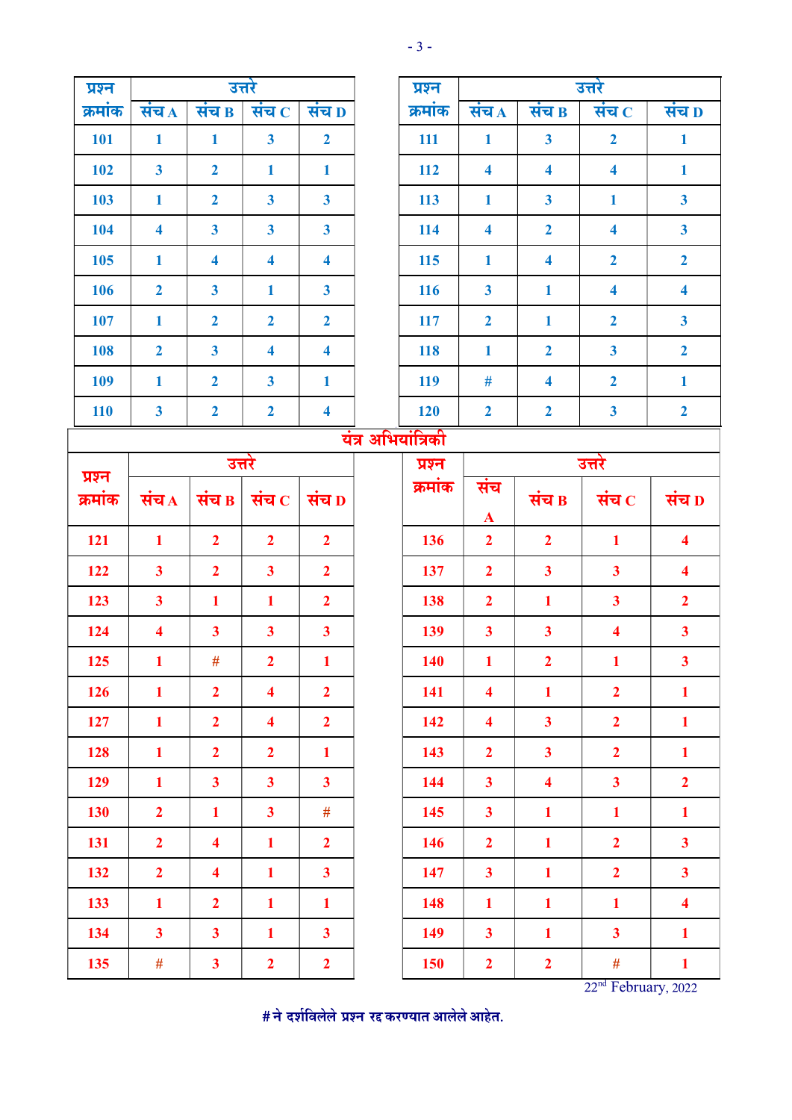| ۰, |  |
|----|--|
|----|--|

| प्रश्न     |                         |                         | उत्तरे                      |                         |  | प्रश्न  |                         |                         | उत्तरे                  |                         |
|------------|-------------------------|-------------------------|-----------------------------|-------------------------|--|---------|-------------------------|-------------------------|-------------------------|-------------------------|
| क्रमांक    | संच $\overline{A}$      | संच $\overline{B}$      | संच $\overline{\mathbf{c}}$ | संच D                   |  | क्रमांक | संच A                   | संच $\overline{B}$      | संच $\overline{c}$      | संच D                   |
| <b>101</b> | $\mathbf{1}$            | $\mathbf{1}$            | $\overline{\mathbf{3}}$     | $\overline{2}$          |  | 111     | $\mathbf{1}$            | $\overline{\mathbf{3}}$ | $\overline{2}$          | $\mathbf{1}$            |
| 102        | $\overline{\mathbf{3}}$ | $\overline{2}$          | $\mathbf{1}$                | $\mathbf{1}$            |  | 112     | $\overline{\mathbf{4}}$ | $\overline{\mathbf{4}}$ | $\overline{\mathbf{4}}$ | $\mathbf{1}$            |
| 103        | $\mathbf{1}$            | $\overline{2}$          | $\overline{\mathbf{3}}$     | $\overline{\mathbf{3}}$ |  | 113     | $\mathbf{1}$            | $\overline{\mathbf{3}}$ | $\mathbf{1}$            | $\overline{\mathbf{3}}$ |
| 104        | $\overline{\mathbf{4}}$ | $\overline{\mathbf{3}}$ | $\overline{\mathbf{3}}$     | $\overline{\mathbf{3}}$ |  | 114     | $\overline{\mathbf{4}}$ | $\overline{2}$          | $\overline{\mathbf{4}}$ | $\overline{\mathbf{3}}$ |
| 105        | $\mathbf{1}$            | $\overline{\mathbf{4}}$ | $\overline{\mathbf{4}}$     | $\overline{\mathbf{4}}$ |  | 115     | $\mathbf{1}$            | $\overline{\mathbf{4}}$ | $\overline{2}$          | $\overline{2}$          |
| 106        | $\overline{2}$          | $\overline{\mathbf{3}}$ | $\mathbf{1}$                | $\mathbf{3}$            |  | 116     | $\overline{\mathbf{3}}$ | $\mathbf{1}$            | $\overline{\mathbf{4}}$ | $\overline{\mathbf{4}}$ |
| 107        | $\mathbf{1}$            | $\overline{2}$          | $\overline{2}$              | $\overline{2}$          |  | 117     | $\overline{2}$          | $\mathbf{1}$            | $\overline{2}$          | $\overline{\mathbf{3}}$ |
| 108        | $\overline{2}$          | $\overline{\mathbf{3}}$ | $\overline{\mathbf{4}}$     | $\overline{\mathbf{4}}$ |  | 118     | $\mathbf{1}$            | $\overline{2}$          | $\mathbf{3}$            | $\overline{2}$          |
| 109        | $\mathbf{1}$            | $\overline{2}$          | $\overline{\mathbf{3}}$     | $\mathbf{1}$            |  | 119     | #                       | $\overline{\mathbf{4}}$ | $\overline{2}$          | $\mathbf{1}$            |
| <b>110</b> | $\mathbf{3}$            | $\overline{2}$          | $\overline{2}$              | $\overline{\mathbf{4}}$ |  | 120     | $\overline{2}$          | $\overline{2}$          | $\mathbf{3}$            | $\overline{2}$          |
|            | अभियांत्रिकी<br>यंत्र   |                         |                             |                         |  |         |                         |                         |                         |                         |
| प्रश्न     |                         | उत्तरे                  |                             |                         |  | प्रश्न  |                         |                         | उत्तरे                  |                         |
| क्रमांक    | संच $\overline{A}$      | संच $\,$ B $\,$         | संच $\,$ $\,$               | संच D                   |  | क्रमांक | संच<br>$\mathbf{A}$     | संच $\mathbf B$         | संच $\, {\bf c}$        | संच D                   |
| 121        | $\mathbf{1}$            | $\overline{2}$          | $\overline{2}$              | $\overline{2}$          |  | 136     | $\overline{2}$          | $\overline{2}$          | $\mathbf{1}$            | $\overline{\mathbf{4}}$ |
|            |                         |                         |                             |                         |  |         |                         |                         |                         |                         |
| 122        | $\overline{\mathbf{3}}$ | $\overline{2}$          | $\overline{\mathbf{3}}$     | $\overline{2}$          |  | 137     | $\overline{2}$          | $\overline{\mathbf{3}}$ | $\overline{\mathbf{3}}$ | $\overline{\mathbf{4}}$ |
| 123        | $\mathbf{3}$            | $\mathbf{1}$            | $\mathbf{1}$                | $\overline{2}$          |  | 138     | $\overline{2}$          | $\mathbf{1}$            | $\overline{\mathbf{3}}$ | $\overline{2}$          |
| 124        | $\overline{\mathbf{4}}$ | $\overline{\mathbf{3}}$ | $\overline{\mathbf{3}}$     | $\mathbf{3}$            |  | 139     | $\mathbf{3}$            | $\overline{\mathbf{3}}$ | $\overline{\mathbf{4}}$ | $\mathbf{3}$            |
| 125        | $\mathbf{1}$            | #                       | $\overline{2}$              | $\mathbf{1}$            |  | 140     | $\mathbf{1}$            | 2 <sup>1</sup>          | $\mathbf{1}$            | 3 <sup>1</sup>          |
| 126        | $\mathbf{1}$            | $\overline{2}$          | $\overline{\mathbf{4}}$     | $\overline{2}$          |  | 141     | $\overline{\mathbf{4}}$ | $\mathbf{1}$            | $\overline{2}$          | $\mathbf{1}$            |
| 127        | $\mathbf{1}$            | $\overline{2}$          | $\overline{\mathbf{4}}$     | $\overline{2}$          |  | 142     | $\overline{\mathbf{4}}$ | $\overline{\mathbf{3}}$ | $\overline{2}$          | $\mathbf{1}$            |
| 128        | $\mathbf{1}$            | $\overline{2}$          | $\overline{2}$              | $\mathbf{1}$            |  | 143     | $\overline{2}$          | $\overline{\mathbf{3}}$ | $\overline{2}$          | $\mathbf{1}$            |
| 129        | $\mathbf{1}$            | $\overline{\mathbf{3}}$ | $\mathbf{3}$                | $\mathbf{3}$            |  | 144     | $\overline{\mathbf{3}}$ | $\overline{\mathbf{4}}$ | $\overline{\mathbf{3}}$ | $\overline{2}$          |
| 130        | $\overline{2}$          | $\mathbf{1}$            | $\overline{\mathbf{3}}$     | $\#$                    |  | 145     | $\overline{\mathbf{3}}$ | $\mathbf{1}$            | $\mathbf{1}$            | $\mathbf{1}$            |
| 131        | $\overline{2}$          | $\overline{\mathbf{4}}$ | $\mathbf{1}$                | $\overline{2}$          |  | 146     | $\overline{2}$          | $\mathbf{1}$            | $\overline{2}$          | $\mathbf{3}$            |
| 132        | $\overline{2}$          | $\overline{\mathbf{4}}$ | $\mathbf{1}$                | $\overline{\mathbf{3}}$ |  | 147     | $\overline{\mathbf{3}}$ | $\mathbf{1}$            | $\overline{2}$          | $\mathbf{3}$            |
| 133        | $\mathbf{1}$            | $\overline{2}$          | $\mathbf{1}$                | $\mathbf{1}$            |  | 148     | $\mathbf{1}$            | $\mathbf{1}$            | $\mathbf{1}$            | $\overline{\mathbf{4}}$ |
| 134        | $\overline{\mathbf{3}}$ | $\overline{\mathbf{3}}$ | $\mathbf{1}$                | $\mathbf{3}$            |  | 149     | $\overline{\mathbf{3}}$ | $\mathbf{1}$            | $\overline{\mathbf{3}}$ | $\mathbf{1}$            |

22<sup>nd</sup> February, 2022